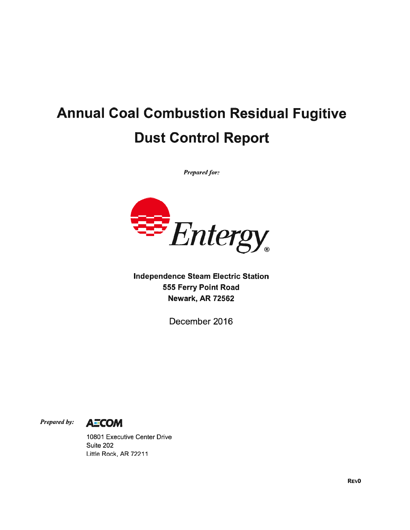## Annual Coal Combustion Residual Fugitive Dust Control Report

Prepared for:



Independence Steam Electric Station 555 Ferry Point Road Newark, AR 72562

December 2016

Prepared by: **AZCOM** 

10801 Executive Center Drive Suite 202 Little Rock, AR 72211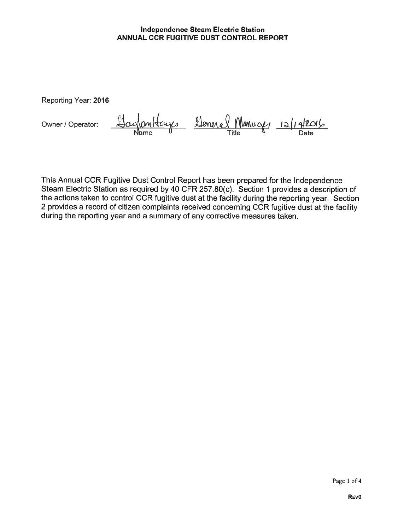## Independence Steam Electric Station ANNUAL CCR FUGITIVE DUST CONTROL REPORT

Reporting Year: 2016

Owner/Operator:  $\frac{1}{10}$  Owner/Onltays Leneral Managy 12/14/2016 me Title Date

This Annual OCR Fugitive Dust Control Report has been prepared for the Independence Steam Electric Station as required by 40 CFR 257.80(c). Section 1 provides <sup>a</sup> description of the actions taken to control OCR fugitive dust at the facility during the reporting year. Section <sup>2</sup> provides <sup>a</sup> record of citizen complaints received concerning OCR fugitive dust at the facility during the reporting year and <sup>a</sup> summary of any corrective measures taken.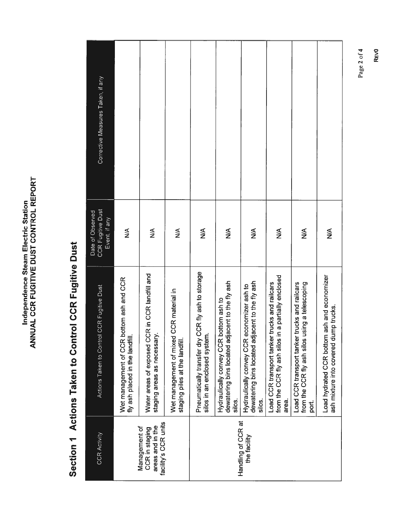| <b>PEDOD</b><br><b>L CONTRO</b><br><b>FUGITIVE DUST</b><br>Ξ<br>ر<br>らく<br><b>SHIND</b><br>Ś |
|----------------------------------------------------------------------------------------------|
|----------------------------------------------------------------------------------------------|

## Section 1 Actions Taken to Control CCR Fugitive Dust Section 1 Actions Taken to Control CCR Fugitive Dust

| Corrective Measures Taken, if any                             |                                                                             |                                                                               |                                                                          |                                                                                   |                                                                                                        |                                                                                                            |                                                                                                                 |                                                                                                          |                                                                                      |
|---------------------------------------------------------------|-----------------------------------------------------------------------------|-------------------------------------------------------------------------------|--------------------------------------------------------------------------|-----------------------------------------------------------------------------------|--------------------------------------------------------------------------------------------------------|------------------------------------------------------------------------------------------------------------|-----------------------------------------------------------------------------------------------------------------|----------------------------------------------------------------------------------------------------------|--------------------------------------------------------------------------------------|
| <b>CCR Fugitive Dust</b><br>Date of Observed<br>Event, if any | ≸                                                                           | ≸                                                                             | $\frac{8}{2}$                                                            | ≸                                                                                 | $\frac{1}{2}$                                                                                          | ≸                                                                                                          | ⋚                                                                                                               | ≸                                                                                                        | $\frac{\mathbf{A}}{\mathbf{A}}$                                                      |
| Actions Taken to Control CCR Fugitive Dust                    | Wet management of CCR bottom ash and CCR<br>fly ash placed in the landfill  | Water areas of exposed CCR in CCR landfill and<br>staging areas as necessary. | Wet management of mixed CCR material in<br>staging piles at the landfill | Pneumatically transfer dry CCR fly ash to storage<br>silos in an enclosed system. | dewatering bins located adjacent to the fly ash<br>bottom ash to<br>Hydraulically convey CCR<br>silos. | dewatering bins located adjacent to the fly ash<br>economizer ash to<br>Hydraulically convey CCR<br>silos. | in a partially enclosed<br>Load CCR transport tanker trucks and railcars<br>from the CCR fly ash silos<br>area. | Load CCR transport tanker trucks and railcars<br>from the CCR fly ash silos using a telescoping<br>port. | Load hydrated CCR bottom ash and economizer<br>ash mixture into covered dump trucks. |
| <b>CCR Activity</b>                                           | facility's CCR units<br>areas and in the<br>Management of<br>CCR in staging |                                                                               |                                                                          | Handling of CCR at<br>the facility                                                |                                                                                                        |                                                                                                            |                                                                                                                 |                                                                                                          |                                                                                      |

Page 2 of 4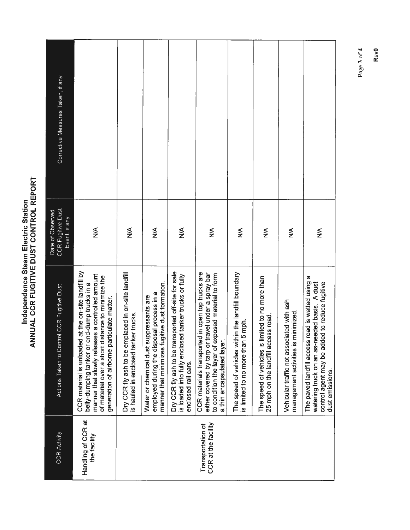Independence Steam Electric Station<br>ANNUAL CCR FUGITIVE DUST CONTROL REPORT

| <b>CCR Activity</b>                      | ol CCR Fugitive Dust<br>Actions Taken to Contr                                                                                                                                                                                                               | <b>CCR Fugitive Dust</b><br>Date of Observed<br>Event, if any | Corrective Measures Taken, if any |
|------------------------------------------|--------------------------------------------------------------------------------------------------------------------------------------------------------------------------------------------------------------------------------------------------------------|---------------------------------------------------------------|-----------------------------------|
| Handling of CCR at<br>the facility       | at the on-site landfill by<br>manner that slowly releases a controlled amount<br>of material over a short distance to minimize the<br>belly-dumping tanker or end-dump trucks in a<br>generation of airborne particulate matter.<br>CCR material is unloaded | ⋚                                                             |                                   |
|                                          | Dry CCR fly ash to be emplaced in on-site landfill<br>is hauled in enclosed tanker trucks.                                                                                                                                                                   | ≸                                                             |                                   |
|                                          | manner that minimizes fugitive dust formation.<br>employed during the disposal process in a<br>Water or chemical dust suppressants are                                                                                                                       | ≸                                                             |                                   |
|                                          | Dry CCR fly ash to be transported off-site for sale<br>is loaded into fully enclosed tanker trucks or fully<br>enclosed rail cars.                                                                                                                           | $\frac{1}{2}$                                                 |                                   |
| CCR at the facility<br>Transportation of | CCR materials transported in open top trucks are<br>either covered by tarp or travel under a spray bar<br>to condition the layer of exposed material to form<br>a thin encapsulated layer.                                                                   | $\leq$                                                        |                                   |
|                                          | The speed of vehicles within the landfill boundary<br>5 mph.<br>is limited to no more than                                                                                                                                                                   | ≸                                                             |                                   |
|                                          | imited to no more than<br>25 mph on the landfill access road.<br>The speed of vehicles is li                                                                                                                                                                 | $\frac{1}{2}$                                                 |                                   |
|                                          | Vehicular traffic not associated with ash<br>minimized.<br>management activities is                                                                                                                                                                          | ≸                                                             |                                   |
|                                          | The paved landfill access road is wetted using a<br>watering truck on an as-needed basis. A dust<br>control agent may be added to reduce fugitive<br>dust emissions.                                                                                         | ≸                                                             |                                   |

Page 3 of 4